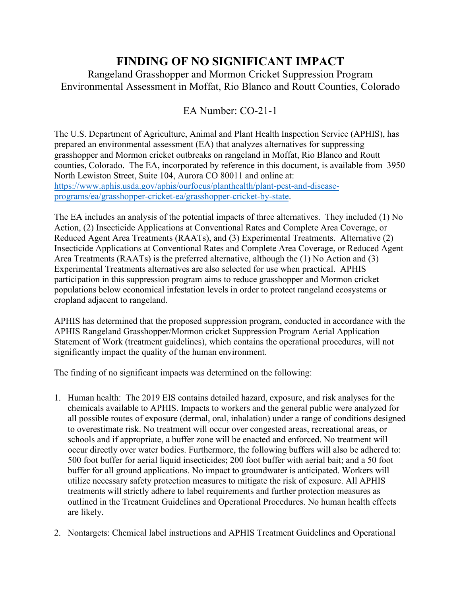## **FINDING OF NO SIGNIFICANT IMPACT**

Rangeland Grasshopper and Mormon Cricket Suppression Program Environmental Assessment in Moffat, Rio Blanco and Routt Counties, Colorado

## EA Number: CO-21-1

The U.S. Department of Agriculture, Animal and Plant Health Inspection Service (APHIS), has prepared an environmental assessment (EA) that analyzes alternatives for suppressing grasshopper and Mormon cricket outbreaks on rangeland in Moffat, Rio Blanco and Routt counties, Colorado. The EA, incorporated by reference in this document, is available from 3950 North Lewiston Street, Suite 104, Aurora CO 80011 and online at: [https://www.aphis.usda.gov/aphis/ourfocus/planthealth/plant-pest-and-disease](https://www.aphis.usda.gov/aphis/ourfocus/planthealth/plant-pest-and-disease-programs/ea/grasshopper-cricket-ea/grasshopper-cricket-by-state)[programs/ea/grasshopper-cricket-ea/grasshopper-cricket-by-state.](https://www.aphis.usda.gov/aphis/ourfocus/planthealth/plant-pest-and-disease-programs/ea/grasshopper-cricket-ea/grasshopper-cricket-by-state)

The EA includes an analysis of the potential impacts of three alternatives. They included (1) No Action, (2) Insecticide Applications at Conventional Rates and Complete Area Coverage, or Reduced Agent Area Treatments (RAATs), and (3) Experimental Treatments. Alternative (2) Insecticide Applications at Conventional Rates and Complete Area Coverage, or Reduced Agent Area Treatments (RAATs) is the preferred alternative, although the (1) No Action and (3) Experimental Treatments alternatives are also selected for use when practical. APHIS participation in this suppression program aims to reduce grasshopper and Mormon cricket populations below economical infestation levels in order to protect rangeland ecosystems or cropland adjacent to rangeland.

APHIS has determined that the proposed suppression program, conducted in accordance with the APHIS Rangeland Grasshopper/Mormon cricket Suppression Program Aerial Application Statement of Work (treatment guidelines), which contains the operational procedures, will not significantly impact the quality of the human environment.

The finding of no significant impacts was determined on the following:

- 1. Human health: The 2019 EIS contains detailed hazard, exposure, and risk analyses for the chemicals available to APHIS. Impacts to workers and the general public were analyzed for all possible routes of exposure (dermal, oral, inhalation) under a range of conditions designed to overestimate risk. No treatment will occur over congested areas, recreational areas, or schools and if appropriate, a buffer zone will be enacted and enforced. No treatment will occur directly over water bodies. Furthermore, the following buffers will also be adhered to: 500 foot buffer for aerial liquid insecticides; 200 foot buffer with aerial bait; and a 50 foot buffer for all ground applications. No impact to groundwater is anticipated. Workers will utilize necessary safety protection measures to mitigate the risk of exposure. All APHIS treatments will strictly adhere to label requirements and further protection measures as outlined in the Treatment Guidelines and Operational Procedures. No human health effects are likely.
- 2. Nontargets: Chemical label instructions and APHIS Treatment Guidelines and Operational